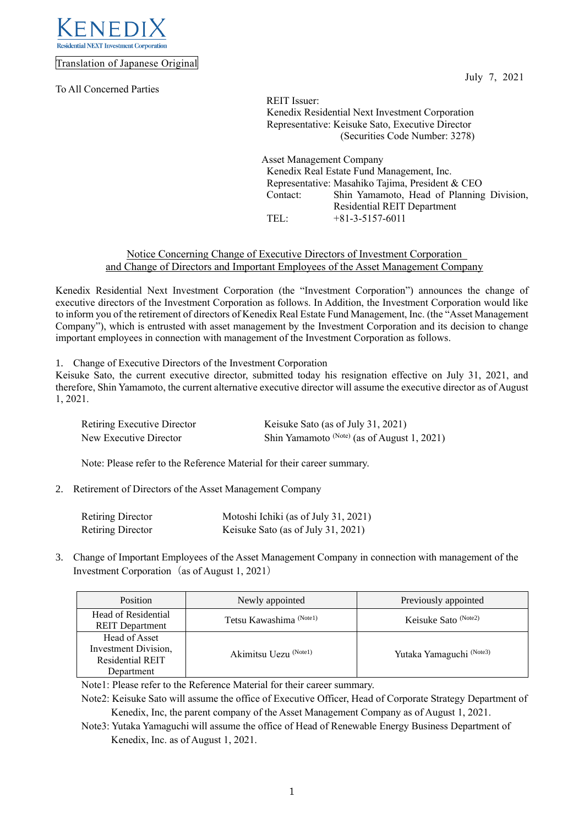

Translation of Japanese Original

To All Concerned Parties

July 7, 2021

REIT Issuer: Kenedix Residential Next Investment Corporation Representative: Keisuke Sato, Executive Director (Securities Code Number: 3278)

Asset Management Company Kenedix Real Estate Fund Management, Inc. Representative: Masahiko Tajima, President & CEO Contact: Shin Yamamoto, Head of Planning Division, Residential REIT Department TEL: +81-3-5157-6011

# Notice Concerning Change of Executive Directors of Investment Corporation and Change of Directors and Important Employees of the Asset Management Company

Kenedix Residential Next Investment Corporation (the "Investment Corporation") announces the change of executive directors of the Investment Corporation as follows. In Addition, the Investment Corporation would like to inform you of the retirement of directors of Kenedix Real Estate Fund Management, Inc. (the "Asset Management Company"), which is entrusted with asset management by the Investment Corporation and its decision to change important employees in connection with management of the Investment Corporation as follows.

1. Change of Executive Directors of the Investment Corporation

Keisuke Sato, the current executive director, submitted today his resignation effective on July 31, 2021, and therefore, Shin Yamamoto, the current alternative executive director will assume the executive director as of August 1, 2021.

| Retiring Executive Director | Keisuke Sato (as of July 31, 2021)            |
|-----------------------------|-----------------------------------------------|
| New Executive Director      | Shin Yamamoto $(Note)$ (as of August 1, 2021) |

Note: Please refer to the Reference Material for their career summary.

2. Retirement of Directors of the Asset Management Company

| <b>Retiring Director</b> | Motoshi Ichiki (as of July 31, 2021) |
|--------------------------|--------------------------------------|
| <b>Retiring Director</b> | Keisuke Sato (as of July 31, 2021)   |

3. Change of Important Employees of the Asset Management Company in connection with management of the Investment Corporation (as of August 1, 2021)

| Position                                                                       | Newly appointed                    | Previously appointed     |  |
|--------------------------------------------------------------------------------|------------------------------------|--------------------------|--|
| Head of Residential<br><b>REIT</b> Department                                  | Tetsu Kawashima <sup>(Note1)</sup> | Keisuke Sato (Note2)     |  |
| Head of Asset<br>Investment Division,<br><b>Residential REIT</b><br>Department | Akimitsu Uezu (Notel)              | Yutaka Yamaguchi (Note3) |  |

Note1: Please refer to the Reference Material for their career summary.

Note2: Keisuke Sato will assume the office of Executive Officer, Head of Corporate Strategy Department of Kenedix, Inc, the parent company of the Asset Management Company as of August 1, 2021.

Note3: Yutaka Yamaguchi will assume the office of Head of Renewable Energy Business Department of Kenedix, Inc. as of August 1, 2021.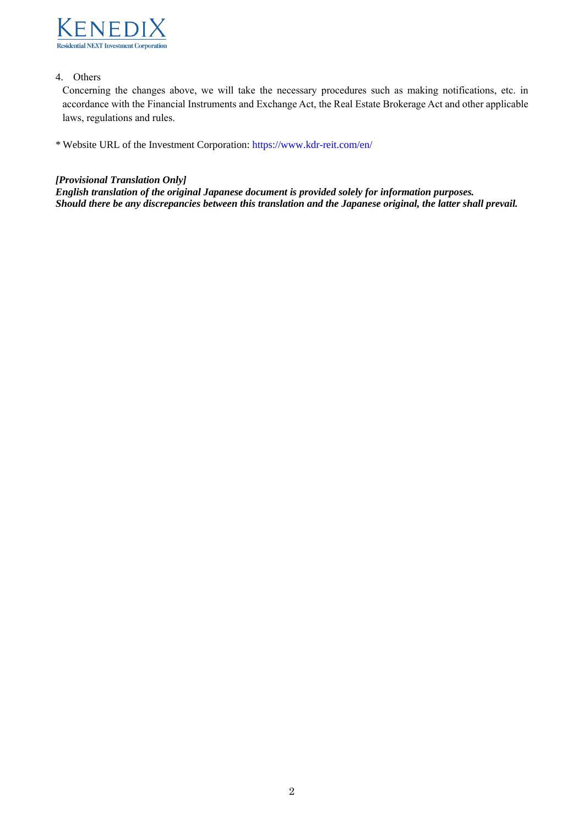

# 4. Others

Concerning the changes above, we will take the necessary procedures such as making notifications, etc. in accordance with the Financial Instruments and Exchange Act, the Real Estate Brokerage Act and other applicable laws, regulations and rules.

\* Website URL of the Investment Corporation: <https://www.kdr-reit.com/en/>

### *[Provisional Translation Only]*

*English translation of the original Japanese document is provided solely for information purposes. Should there be any discrepancies between this translation and the Japanese original, the latter shall prevail.*